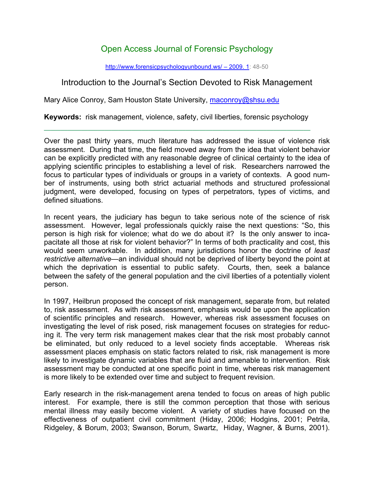## Open Access Journal of Forensic Psychology

http://www.forensicpsychologyunbound.ws/ – 2009. 1: 48-50

## Introduction to the Journal's Section Devoted to Risk Management

Mary Alice Conroy, Sam Houston State University, maconroy@shsu.edu

**Keywords:** risk management, violence, safety, civil liberties, forensic psychology

Over the past thirty years, much literature has addressed the issue of violence risk assessment. During that time, the field moved away from the idea that violent behavior can be explicitly predicted with any reasonable degree of clinical certainty to the idea of applying scientific principles to establishing a level of risk. Researchers narrowed the focus to particular types of individuals or groups in a variety of contexts. A good number of instruments, using both strict actuarial methods and structured professional judgment, were developed, focusing on types of perpetrators, types of victims, and defined situations.

In recent years, the judiciary has begun to take serious note of the science of risk assessment. However, legal professionals quickly raise the next questions: "So, this person is high risk for violence; what do we do about it? Is the only answer to incapacitate all those at risk for violent behavior?" In terms of both practicality and cost, this would seem unworkable. In addition, many jurisdictions honor the doctrine of *least restrictive alternative*—an individual should not be deprived of liberty beyond the point at which the deprivation is essential to public safety. Courts, then, seek a balance between the safety of the general population and the civil liberties of a potentially violent person.

In 1997, Heilbrun proposed the concept of risk management, separate from, but related to, risk assessment. As with risk assessment, emphasis would be upon the application of scientific principles and research. However, whereas risk assessment focuses on investigating the level of risk posed, risk management focuses on strategies for reducing it. The very term risk management makes clear that the risk most probably cannot be eliminated, but only reduced to a level society finds acceptable. Whereas risk assessment places emphasis on static factors related to risk, risk management is more likely to investigate dynamic variables that are fluid and amenable to intervention. Risk assessment may be conducted at one specific point in time, whereas risk management is more likely to be extended over time and subject to frequent revision.

Early research in the risk-management arena tended to focus on areas of high public interest. For example, there is still the common perception that those with serious mental illness may easily become violent. A variety of studies have focused on the effectiveness of outpatient civil commitment (Hiday, 2006; Hodgins, 2001; Petrila, Ridgeley, & Borum, 2003; Swanson, Borum, Swartz, Hiday, Wagner, & Burns, 2001).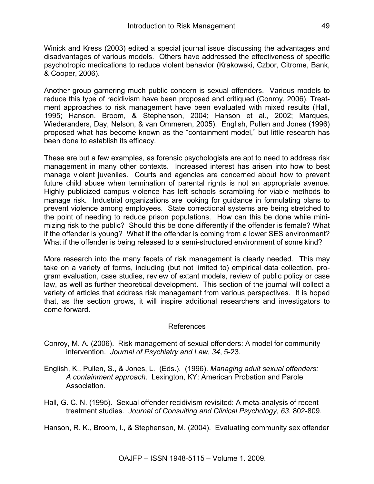Winick and Kress (2003) edited a special journal issue discussing the advantages and disadvantages of various models. Others have addressed the effectiveness of specific psychotropic medications to reduce violent behavior (Krakowski, Czbor, Citrome, Bank, & Cooper, 2006).

Another group garnering much public concern is sexual offenders. Various models to reduce this type of recidivism have been proposed and critiqued (Conroy, 2006). Treatment approaches to risk management have been evaluated with mixed results (Hall, 1995; Hanson, Broom, & Stephenson, 2004; Hanson et al., 2002; Marques, Wiederanders, Day, Nelson, & van Ommeren, 2005). English, Pullen and Jones (1996) proposed what has become known as the "containment model," but little research has been done to establish its efficacy.

These are but a few examples, as forensic psychologists are apt to need to address risk management in many other contexts. Increased interest has arisen into how to best manage violent juveniles. Courts and agencies are concerned about how to prevent future child abuse when termination of parental rights is not an appropriate avenue. Highly publicized campus violence has left schools scrambling for viable methods to manage risk. Industrial organizations are looking for guidance in formulating plans to prevent violence among employees. State correctional systems are being stretched to the point of needing to reduce prison populations. How can this be done while minimizing risk to the public? Should this be done differently if the offender is female? What if the offender is young? What if the offender is coming from a lower SES environment? What if the offender is being released to a semi-structured environment of some kind?

More research into the many facets of risk management is clearly needed. This may take on a variety of forms, including (but not limited to) empirical data collection, program evaluation, case studies, review of extant models, review of public policy or case law, as well as further theoretical development. This section of the journal will collect a variety of articles that address risk management from various perspectives. It is hoped that, as the section grows, it will inspire additional researchers and investigators to come forward.

## References

- Conroy, M. A. (2006). Risk management of sexual offenders: A model for community intervention. *Journal of Psychiatry and Law*, *34*, 5-23.
- English, K., Pullen, S., & Jones, L. (Eds.). (1996). *Managing adult sexual offenders: A containment approach*. Lexington, KY: American Probation and Parole Association.
- Hall, G. C. N. (1995). Sexual offender recidivism revisited: A meta-analysis of recent treatment studies. *Journal of Consulting and Clinical Psychology*, *63*, 802-809.

Hanson, R. K., Broom, I., & Stephenson, M. (2004). Evaluating community sex offender